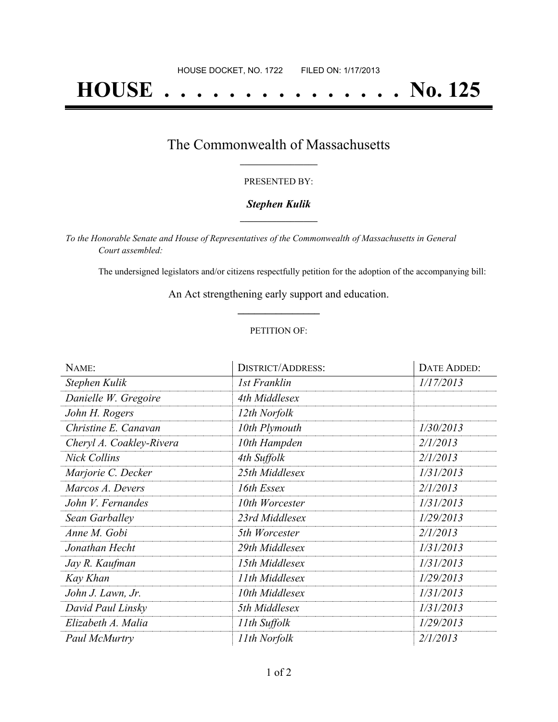# **HOUSE . . . . . . . . . . . . . . . No. 125**

### The Commonwealth of Massachusetts **\_\_\_\_\_\_\_\_\_\_\_\_\_\_\_\_\_**

#### PRESENTED BY:

#### *Stephen Kulik* **\_\_\_\_\_\_\_\_\_\_\_\_\_\_\_\_\_**

*To the Honorable Senate and House of Representatives of the Commonwealth of Massachusetts in General Court assembled:*

The undersigned legislators and/or citizens respectfully petition for the adoption of the accompanying bill:

An Act strengthening early support and education. **\_\_\_\_\_\_\_\_\_\_\_\_\_\_\_**

#### PETITION OF:

| NAME:                    | <b>DISTRICT/ADDRESS:</b> | DATE ADDED: |
|--------------------------|--------------------------|-------------|
| Stephen Kulik            | 1st Franklin             | 1/17/2013   |
| Danielle W. Gregoire     | 4th Middlesex            |             |
| John H. Rogers           | 12th Norfolk             |             |
| Christine E. Canavan     | 10th Plymouth            | 1/30/2013   |
| Cheryl A. Coakley-Rivera | 10th Hampden             | 2/1/2013    |
| <b>Nick Collins</b>      | 4th Suffolk              | 2/1/2013    |
| Marjorie C. Decker       | 25th Middlesex           | 1/31/2013   |
| Marcos A. Devers         | 16th Essex               | 2/1/2013    |
| John V. Fernandes        | 10th Worcester           | 1/31/2013   |
| Sean Garballey           | 23rd Middlesex           | 1/29/2013   |
| Anne M. Gobi             | 5th Worcester            | 2/1/2013    |
| Jonathan Hecht           | 29th Middlesex           | 1/31/2013   |
| Jay R. Kaufman           | 15th Middlesex           | 1/31/2013   |
| Kay Khan                 | 11th Middlesex           | 1/29/2013   |
| John J. Lawn, Jr.        | 10th Middlesex           | 1/31/2013   |
| David Paul Linsky        | 5th Middlesex            | 1/31/2013   |
| Elizabeth A. Malia       | 11th Suffolk             | 1/29/2013   |
| Paul McMurtry            | 11th Norfolk             | 2/1/2013    |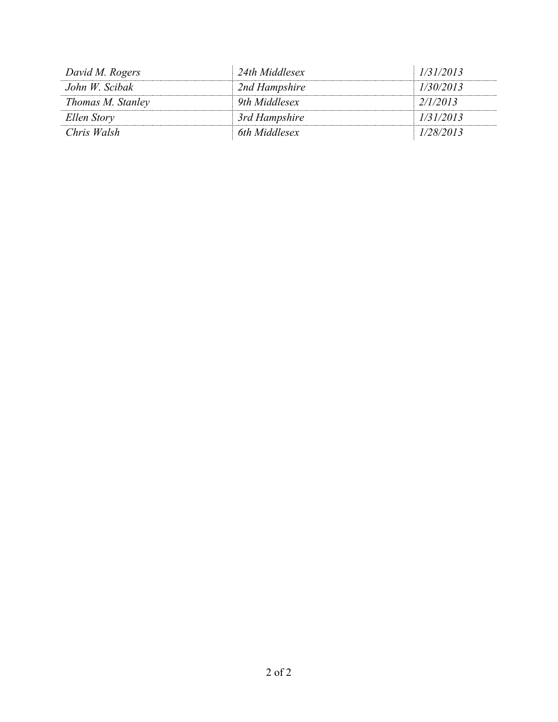| David M. Rogers   | 24th Middlesex | 1/31/2013 |
|-------------------|----------------|-----------|
| John W. Scibak    | 2nd Hampshire  | 1/30/2013 |
| Thomas M. Stanley | 9th Middlesex  | 2/1/2013  |
| Ellen Story       | 3rd Hampshire  | 1/31/2013 |
| Chris Walsh       | 6th Middlesex  | 1/28/2013 |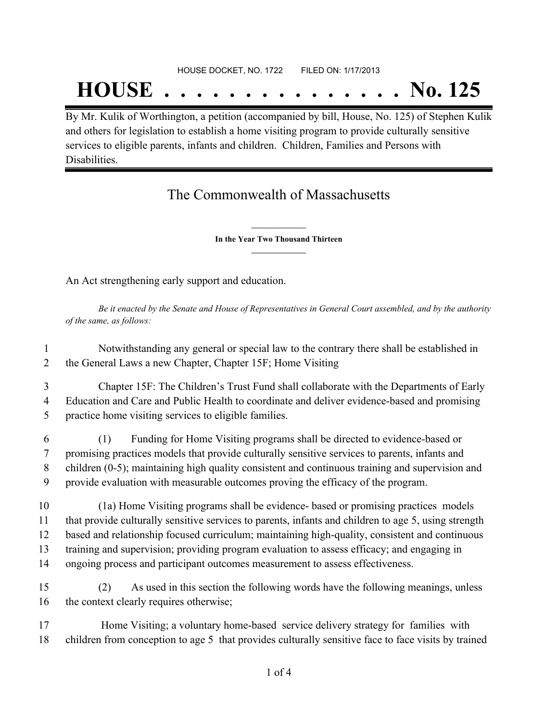#### HOUSE DOCKET, NO. 1722 FILED ON: 1/17/2013

## **HOUSE . . . . . . . . . . . . . . . No. 125**

By Mr. Kulik of Worthington, a petition (accompanied by bill, House, No. 125) of Stephen Kulik and others for legislation to establish a home visiting program to provide culturally sensitive services to eligible parents, infants and children. Children, Families and Persons with Disabilities.

## The Commonwealth of Massachusetts

**\_\_\_\_\_\_\_\_\_\_\_\_\_\_\_ In the Year Two Thousand Thirteen \_\_\_\_\_\_\_\_\_\_\_\_\_\_\_**

An Act strengthening early support and education.

Be it enacted by the Senate and House of Representatives in General Court assembled, and by the authority *of the same, as follows:*

1 Notwithstanding any general or special law to the contrary there shall be established in 2 the General Laws a new Chapter, Chapter 15F; Home Visiting

3 Chapter 15F: The Children's Trust Fund shall collaborate with the Departments of Early 4 Education and Care and Public Health to coordinate and deliver evidence-based and promising 5 practice home visiting services to eligible families.

 (1) Funding for Home Visiting programs shall be directed to evidence-based or promising practices models that provide culturally sensitive services to parents, infants and children (0-5); maintaining high quality consistent and continuous training and supervision and provide evaluation with measurable outcomes proving the efficacy of the program.

 (1a) Home Visiting programs shall be evidence- based or promising practices models that provide culturally sensitive services to parents, infants and children to age 5, using strength based and relationship focused curriculum; maintaining high-quality, consistent and continuous training and supervision; providing program evaluation to assess efficacy; and engaging in ongoing process and participant outcomes measurement to assess effectiveness.

15 (2) As used in this section the following words have the following meanings, unless 16 the context clearly requires otherwise;

17 Home Visiting; a voluntary home-based service delivery strategy for families with 18 children from conception to age 5 that provides culturally sensitive face to face visits by trained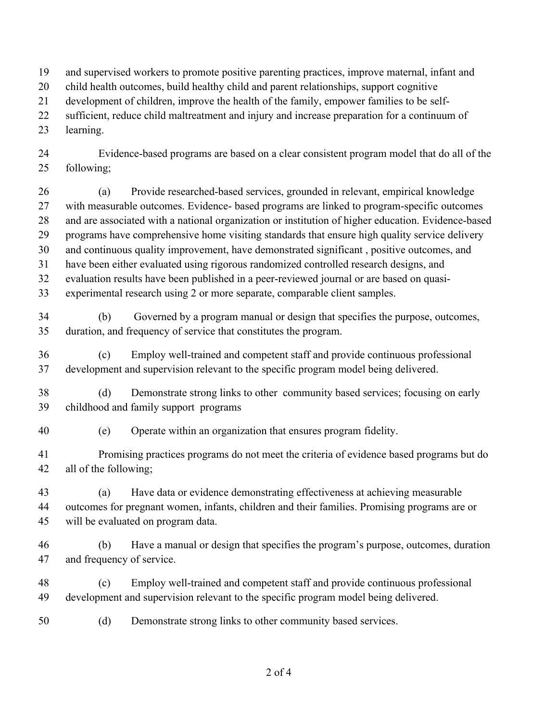- and supervised workers to promote positive parenting practices, improve maternal, infant and
- child health outcomes, build healthy child and parent relationships, support cognitive
- development of children, improve the health of the family, empower families to be self-
- sufficient, reduce child maltreatment and injury and increase preparation for a continuum of
- learning.
- Evidence-based programs are based on a clear consistent program model that do all of the following;
- (a) Provide researched-based services, grounded in relevant, empirical knowledge with measurable outcomes. Evidence- based programs are linked to program-specific outcomes and are associated with a national organization or institution of higher education. Evidence-based programs have comprehensive home visiting standards that ensure high quality service delivery and continuous quality improvement, have demonstrated significant , positive outcomes, and have been either evaluated using rigorous randomized controlled research designs, and evaluation results have been published in a peer-reviewed journal or are based on quasi-
- experimental research using 2 or more separate, comparable client samples.
- (b) Governed by a program manual or design that specifies the purpose, outcomes, duration, and frequency of service that constitutes the program.
- (c) Employ well-trained and competent staff and provide continuous professional development and supervision relevant to the specific program model being delivered.
- (d) Demonstrate strong links to other community based services; focusing on early childhood and family support programs
- (e) Operate within an organization that ensures program fidelity.
- Promising practices programs do not meet the criteria of evidence based programs but do all of the following;
- (a) Have data or evidence demonstrating effectiveness at achieving measurable outcomes for pregnant women, infants, children and their families. Promising programs are or will be evaluated on program data.
- (b) Have a manual or design that specifies the program's purpose, outcomes, duration and frequency of service.
- (c) Employ well-trained and competent staff and provide continuous professional development and supervision relevant to the specific program model being delivered.
- (d) Demonstrate strong links to other community based services.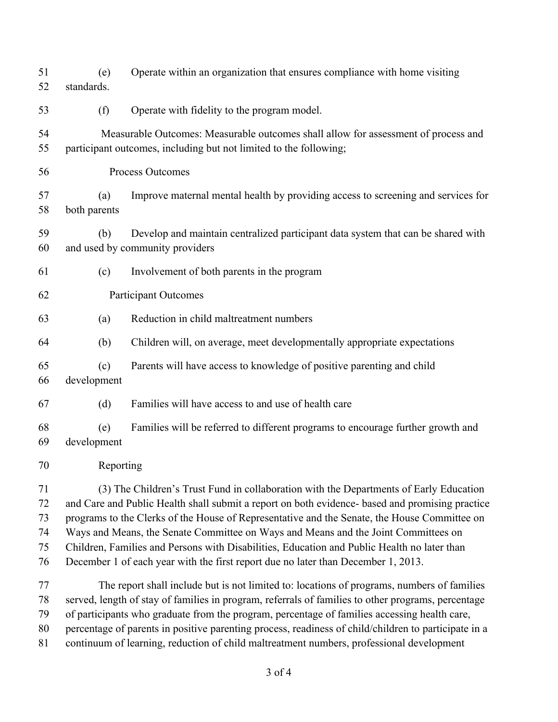| 51<br>52                         | (e)<br>standards.                                                                                                                                                                                                                                                                                                                                                                                                                                                                                                                                                   | Operate within an organization that ensures compliance with home visiting                                                                                                                                                                                                                                                                                                                                                                                                                            |  |
|----------------------------------|---------------------------------------------------------------------------------------------------------------------------------------------------------------------------------------------------------------------------------------------------------------------------------------------------------------------------------------------------------------------------------------------------------------------------------------------------------------------------------------------------------------------------------------------------------------------|------------------------------------------------------------------------------------------------------------------------------------------------------------------------------------------------------------------------------------------------------------------------------------------------------------------------------------------------------------------------------------------------------------------------------------------------------------------------------------------------------|--|
| 53                               | (f)                                                                                                                                                                                                                                                                                                                                                                                                                                                                                                                                                                 | Operate with fidelity to the program model.                                                                                                                                                                                                                                                                                                                                                                                                                                                          |  |
| 54<br>55                         | Measurable Outcomes: Measurable outcomes shall allow for assessment of process and<br>participant outcomes, including but not limited to the following;                                                                                                                                                                                                                                                                                                                                                                                                             |                                                                                                                                                                                                                                                                                                                                                                                                                                                                                                      |  |
| 56                               |                                                                                                                                                                                                                                                                                                                                                                                                                                                                                                                                                                     | Process Outcomes                                                                                                                                                                                                                                                                                                                                                                                                                                                                                     |  |
| 57<br>58                         | (a)<br>both parents                                                                                                                                                                                                                                                                                                                                                                                                                                                                                                                                                 | Improve maternal mental health by providing access to screening and services for                                                                                                                                                                                                                                                                                                                                                                                                                     |  |
| 59<br>60                         | (b)                                                                                                                                                                                                                                                                                                                                                                                                                                                                                                                                                                 | Develop and maintain centralized participant data system that can be shared with<br>and used by community providers                                                                                                                                                                                                                                                                                                                                                                                  |  |
| 61                               | (c)                                                                                                                                                                                                                                                                                                                                                                                                                                                                                                                                                                 | Involvement of both parents in the program                                                                                                                                                                                                                                                                                                                                                                                                                                                           |  |
| 62                               | <b>Participant Outcomes</b>                                                                                                                                                                                                                                                                                                                                                                                                                                                                                                                                         |                                                                                                                                                                                                                                                                                                                                                                                                                                                                                                      |  |
| 63                               | (a)                                                                                                                                                                                                                                                                                                                                                                                                                                                                                                                                                                 | Reduction in child maltreatment numbers                                                                                                                                                                                                                                                                                                                                                                                                                                                              |  |
| 64                               | (b)                                                                                                                                                                                                                                                                                                                                                                                                                                                                                                                                                                 | Children will, on average, meet developmentally appropriate expectations                                                                                                                                                                                                                                                                                                                                                                                                                             |  |
| 65<br>66                         | (c)<br>development                                                                                                                                                                                                                                                                                                                                                                                                                                                                                                                                                  | Parents will have access to knowledge of positive parenting and child                                                                                                                                                                                                                                                                                                                                                                                                                                |  |
| 67                               | (d)                                                                                                                                                                                                                                                                                                                                                                                                                                                                                                                                                                 | Families will have access to and use of health care                                                                                                                                                                                                                                                                                                                                                                                                                                                  |  |
| 68<br>69                         | (e)<br>development                                                                                                                                                                                                                                                                                                                                                                                                                                                                                                                                                  | Families will be referred to different programs to encourage further growth and                                                                                                                                                                                                                                                                                                                                                                                                                      |  |
| 70                               | Reporting                                                                                                                                                                                                                                                                                                                                                                                                                                                                                                                                                           |                                                                                                                                                                                                                                                                                                                                                                                                                                                                                                      |  |
| 71<br>72<br>73<br>74<br>75<br>76 | (3) The Children's Trust Fund in collaboration with the Departments of Early Education<br>and Care and Public Health shall submit a report on both evidence- based and promising practice<br>programs to the Clerks of the House of Representative and the Senate, the House Committee on<br>Ways and Means, the Senate Committee on Ways and Means and the Joint Committees on<br>Children, Families and Persons with Disabilities, Education and Public Health no later than<br>December 1 of each year with the first report due no later than December 1, 2013. |                                                                                                                                                                                                                                                                                                                                                                                                                                                                                                      |  |
| 77<br>78<br>79<br>80<br>81       |                                                                                                                                                                                                                                                                                                                                                                                                                                                                                                                                                                     | The report shall include but is not limited to: locations of programs, numbers of families<br>served, length of stay of families in program, referrals of families to other programs, percentage<br>of participants who graduate from the program, percentage of families accessing health care,<br>percentage of parents in positive parenting process, readiness of child/children to participate in a<br>continuum of learning, reduction of child maltreatment numbers, professional development |  |